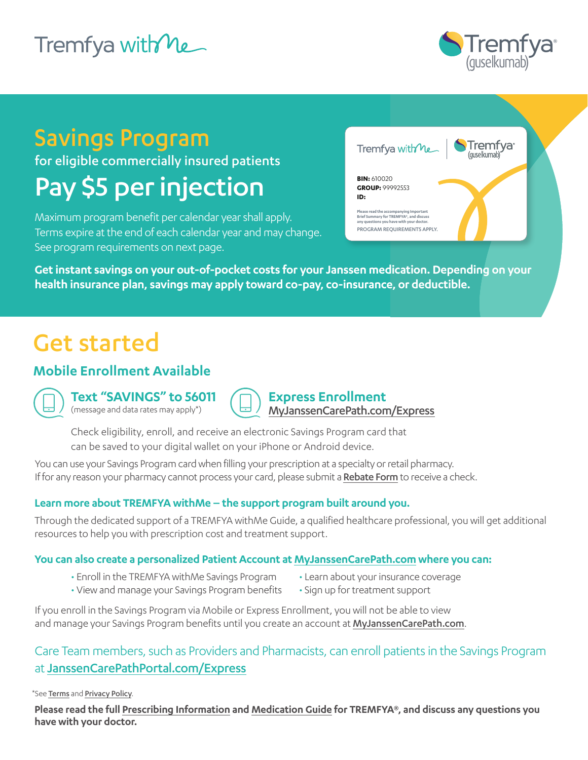## Tremfya with ne



## Savings Program

for eligible commercially insured patients

# Pay \$5 per injection

Maximum program benefit per calendar year shall apply. Terms expire at the end of each calendar year and may change. See program requirements on next page.



**Please read the accompanying Important Brief Summary for TREMFYA®, and discuss any questions you have with your doctor.**

PROGRAM REOUIREMENTS APPLY

**Get instant savings on your out-of-pocket costs for your Janssen medication. Depending on your health insurance plan, savings may apply toward co-pay, co-insurance, or deductible.**

## Get started

### **Mobile Enrollment Available**



**Text "SAVINGS" to 56011** (message and data rates may apply\*)

**Express Enrollment** [MyJanssenCarePath.com/Express](https://www.myjanssencarepath.com/Express)

Check eligibility, enroll, and receive an electronic Savings Program card that can be saved to your digital wallet on your iPhone or Android device.

You can use your Savings Program card when filling your prescription at a specialty or retail pharmacy. If for any reason your pharmacy cannot process your card, please submit a [Rebate Form](https://www.janssencarepath.com/sites/www.janssencarepath.com/files/tremfya-savings-program-rebate-form.pdf) to receive a check.

#### **Learn more about TREMFYA withMe – the support program built around you.**

Through the dedicated support of a TREMFYA withMe Guide, a qualified healthcare professional, you will get additional resources to help you with prescription cost and treatment support.

#### **You can also create a personalized Patient Account at [MyJanssenCarePath.com](https://www.myjanssencarepath.com/s/login/SelfRegister?regBy=Self) where you can:**

- Enroll in the TREMFYA withMe Savings Program
- Learn about your insurance coverage
- View and manage your Savings Program benefits
- Sign up for treatment support

If you enroll in the Savings Program via Mobile or Express Enrollment, you will not be able to view and manage your Savings Program benefits until you create an account at [MyJanssenCarePath.com](https://www.myjanssencarepath.com/s/login/SelfRegister?regBy=Self).

### Care Team members, such as Providers and Pharmacists, can enroll patients in the Savings Program at [JanssenCarePathPortal.com/Express](https://www.janssencarepathportal.com/Express)

\*See [Terms](https://JanssenCarePath.com/Terms-Conditions-Mobile) and [Privacy Policy](https://www.janssencarepath.com/privacy-policy).

**Please read the full [Prescribing Information](https://www.janssenlabels.com/package-insert/product-monograph/prescribing-information/TREMFYA-pi.pdf) and [Medication Guide](https://www.janssenlabels.com/package-insert/product-patient-information/TREMFYA-medication-guide.pdf) for TREMFYA®, and discuss any questions you have with your doctor.**